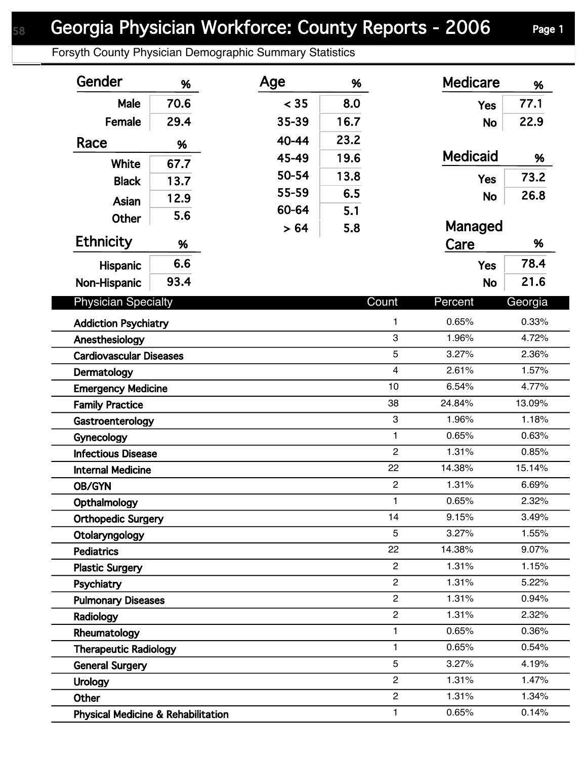## Georgia Physician Workforce: County Reports - 2006 Page 1

Forsyth County Physician Demographic Summary Statistics

| Gender                                        | %    | Age   | %    |                | <b>Medicare</b> | %       |
|-----------------------------------------------|------|-------|------|----------------|-----------------|---------|
| Male                                          | 70.6 | < 35  | 8.0  |                | <b>Yes</b>      | 77.1    |
| Female                                        | 29.4 | 35-39 | 16.7 |                | <b>No</b>       | 22.9    |
| Race                                          | %    | 40-44 | 23.2 |                |                 |         |
|                                               |      | 45-49 | 19.6 |                | <b>Medicaid</b> | %       |
| <b>White</b>                                  | 67.7 | 50-54 | 13.8 |                | <b>Yes</b>      | 73.2    |
| <b>Black</b>                                  | 13.7 | 55-59 | 6.5  |                |                 | 26.8    |
| Asian                                         | 12.9 | 60-64 | 5.1  |                | <b>No</b>       |         |
| <b>Other</b>                                  | 5.6  | > 64  | 5.8  |                | Managed         |         |
| <b>Ethnicity</b>                              | %    |       |      |                | Care            | %       |
| Hispanic                                      | 6.6  |       |      |                | <b>Yes</b>      | 78.4    |
| Non-Hispanic                                  | 93.4 |       |      |                | <b>No</b>       | 21.6    |
| <b>Physician Specialty</b>                    |      |       |      | Count          | Percent         | Georgia |
| <b>Addiction Psychiatry</b>                   |      |       |      | 1              | 0.65%           | 0.33%   |
| Anesthesiology                                |      |       |      | 3              | 1.96%           | 4.72%   |
| <b>Cardiovascular Diseases</b>                |      |       |      | 5              | 3.27%           | 2.36%   |
| Dermatology                                   |      |       |      | $\overline{4}$ | 2.61%           | 1.57%   |
| <b>Emergency Medicine</b>                     |      |       |      | 10             | 6.54%           | 4.77%   |
| <b>Family Practice</b>                        |      |       |      | 38             | 24.84%          | 13.09%  |
| Gastroenterology                              |      |       |      | 3              | 1.96%           | 1.18%   |
| Gynecology                                    |      |       |      | $\mathbf{1}$   | 0.65%           | 0.63%   |
| <b>Infectious Disease</b>                     |      |       |      | $\overline{c}$ | 1.31%           | 0.85%   |
| <b>Internal Medicine</b>                      |      |       |      | 22             | 14.38%          | 15.14%  |
| <b>OB/GYN</b>                                 |      |       |      | $\overline{c}$ | 1.31%           | 6.69%   |
| Opthalmology                                  |      |       |      | 1.             | 0.65%           | 2.32%   |
| <b>Orthopedic Surgery</b>                     |      |       |      | 14             | 9.15%           | 3.49%   |
| Otolaryngology                                |      |       |      | 5              | 3.27%           | 1.55%   |
| <b>Pediatrics</b>                             |      |       |      | 22             | 14.38%          | 9.07%   |
| <b>Plastic Surgery</b>                        |      |       |      | $\overline{2}$ | 1.31%           | 1.15%   |
| Psychiatry                                    |      |       |      | $\overline{2}$ | 1.31%           | 5.22%   |
| <b>Pulmonary Diseases</b>                     |      |       |      | $\overline{c}$ | 1.31%           | 0.94%   |
| Radiology                                     |      |       |      | $\overline{2}$ | 1.31%           | 2.32%   |
| Rheumatology                                  |      |       |      | 1              | 0.65%           | 0.36%   |
| <b>Therapeutic Radiology</b>                  |      |       |      | 1              | 0.65%           | 0.54%   |
| <b>General Surgery</b>                        |      |       |      | 5              | 3.27%           | 4.19%   |
| <b>Urology</b>                                |      |       |      | $\overline{c}$ | 1.31%           | 1.47%   |
| Other                                         |      |       |      | $\overline{c}$ | 1.31%           | 1.34%   |
| <b>Physical Medicine &amp; Rehabilitation</b> |      |       |      | 1              | 0.65%           | 0.14%   |